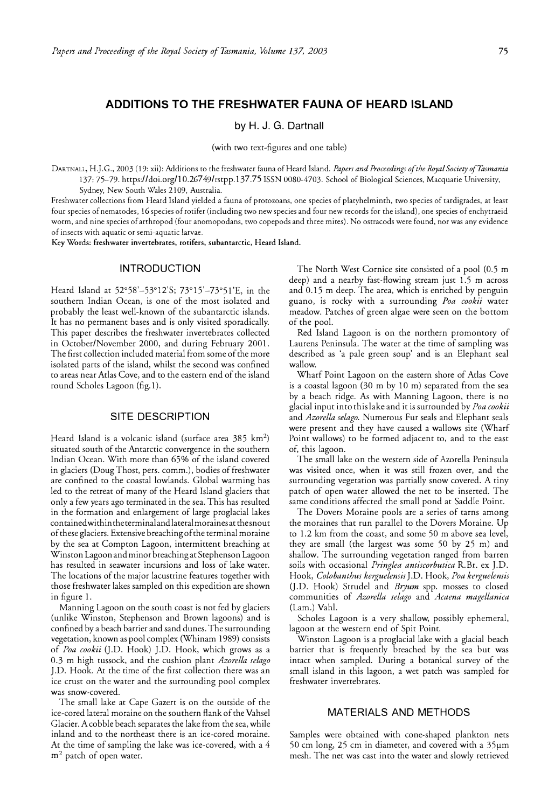# **ADDITIONS TO THE FRESHWATER FAUNA OF HEARD ISLAND**

**by H.J. G. Dartnall**

(with two text-figures and one table)

DARTNALL, H.J .G., 2003 (19: xii): Additions to the freshwater fauna of Heard Island. *Papers and Proceedings of the Royal Society of Tasmania*  137: 75-79. https://doi.org/10.26749/rstpp.137.75 ISSN 0080-4703. School of Biological Sciences, Macquarie University, Sydney, New South Wales 2109, Australia.

Freshwater collections from Heard Island yielded a fauna of protozoans, one species of platyhelminth, two species of tardigrades, at least four species of nemarodes, 16 species of rotifer (including two new species and four new records for the island), one species of enchytraeid worm, and nine species of arthropod (four anomopodans, two copepods and three mites). No ostracods were found, nor was any evidence of insects with aquatic or semi-aquatic larvae.

**Key Words: freshwater invertebrates, rotifers, subantarctic, Heard Island.** 

### **INTRODUCTION**

Heard Island at 52°58'-53° 12'S; 73°15'-73° 5l'E, in the southern Indian Ocean, is one of the most isolated and probably the least well-known of the subantarctic islands. It has no permanent bases and is only visited sporadically. This paper describes the freshwater invertebrates collected in October/November 2000, and during February 2001. The first collection included material from some of the more isolated parts of the island, whilst the second was confined to areas near Atlas Cove, and to the eastern end of the island round Scholes Lagoon (fig. l).

#### **SITE DESCRIPTION**

Heard Island is a volcanic island (surface area 385 km<sup>2</sup>) situated south of the Antarctic convergence in the southern Indian Ocean. With more than 65% of the island covered in glaciers (Doug Thost, pers. comm.), bodies of freshwater are confined to the coastal lowlands. Global warming has led to the retreat of many of the Heard Island glaciers that only a few years ago terminated in the sea. This has resulted in the formation and enlargement of large proglacial lakes contained within the terminal and lateral moraines at the snout of these glaciers. Extensive breaching of the terminal moraine by the sea at Compton Lagoon, intermittent breaching at Winston Lagoon and minor breaching at Stephenson Lagoon has resulted in seawater incursions and loss of lake water. The locations of the major lacustrine features together with those freshwater lakes sampled on this expedition are shown in figure 1.

Manning Lagoon on the south coast is not fed by glaciers (unlike Winston, Stephenson and Brown lagoons) and is confined by a beach barrier and sand dunes. The surrounding vegetation, known as pool complex (Whinam 1989) consists of *Poa cookii* (J.D. Hook) J.D. Hook, which grows as a 0.3 m high tussock, and the cushion plant *Azorella selago*  J.D. Hook. At the time of the first collection there was an ice crust on the water and the surrounding pool complex was snow-covered.

The small lake at Cape Gazert is on the outside of the ice-cored lateral moraine on the southern flank of the Vahsel Glacier. A cobble beach separates the lake from the sea, while inland and to the northeast there is an ice-cored moraine. At the time of sampling the lake was ice-covered, with a 4  $m<sup>2</sup>$  patch of open water.

The North West Cornice site consisted of a pool (0.5 m deep) and a nearby fast-flowing stream just 1.5 m across and 0.15 m deep. The area, which is enriched by penguin guano, is rocky with a surrounding *Poa cookii* water meadow. Patches of green algae were seen on the bottom of the pool.

Red Island Lagoon is on the northern promontory of Laurens Peninsula. The water at the time of sampling was described as 'a pale green soup' and is an Elephant seal wallow.

Wharf Point Lagoon on the eastern shore of Atlas Cove is a coastal lagoon (30 m by 10 m) separated from the sea by a beach ridge. As with Manning Lagoon, there is no glacial input into this lake and it is surrounded by *Poa cookii*  and *Azorella selago.* Numerous Fur seals and Elephant seals were present and they have caused a wallows site (Wharf Point wallows) to be formed adjacent to, and to the east of, this lagoon.

The small lake on the western side of Azorella Peninsula was visited once, when it was still frozen over, and the surrounding vegetation was partially snow covered. A tiny patch of open water allowed the net to be inserted. The same conditions affected the small pond at Saddle Point.

The Dovers Moraine pools are a series of tarns among the moraines that run parallel to the Dovers Moraine. Up to 1.2 km from the coast, and some 50 m above sea level, they are small (the largest was some 50 by 25 m) and shallow. The surrounding vegetation ranged from barren soils with occasional *Pringlea antiscorbutica* R.Br. ex J.D. Hook, *Colobanthus kerguelensis* J .D. Hook, *Poa kerguelensis*  (J.D. Hook) Strudel and *Bryum* spp. mosses to closed communities of *Azorella selago* and *Acaena magellanica*  (Lam.) Yahl.

Scholes Lagoon is a very shallow, possibly ephemeral, lagoon at the western end of Spit Point.

Winston Lagoon is a proglacial lake with a glacial beach barrier that is frequently breached by the sea but was intact when sampled. During a botanical survey of the small island in this lagoon, a wet patch was sampled for freshwater invertebrates.

### **MATERIALS AND METHODS**

Samples were obtained with cone-shaped plankton nets 50 cm long, 25 cm in diameter, and covered with a 35µm mesh. The net was cast into the water and slowly retrieved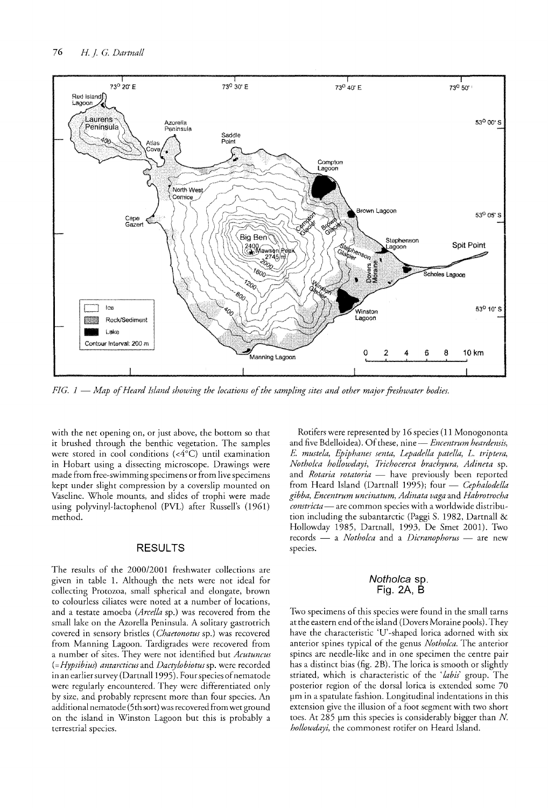

*FIG. 1* - *Map of Heard Island showing the locations of the sampling sites and other majorfreshwater bodies.* 

with the net opening on, or just above, the bottom so that it brushed through the benthic vegetation. The samples were stored in cool conditions  $(**4**°C)$  until examination in Hobart using a dissecting microscope. Drawings were made from free-swimming specimens or from live specimens kept under slight compression by a coverslip mounted on Vaseline. Whole mounts, and slides of trophi were made using polyvinyl-lactophenol (PVL) after Russell's (1961) method.

### **RESULTS**

The results of the 2000/2001 freshwater collections are given in table 1. Although the nets were not ideal for collecting Protozoa, small spherical and elongate, brown to colourless ciliates were noted at a number of locations, and a testate amoeba *(Arcella* sp.) was recovered from the small lake on the Azorella Peninsula. A solitary gastrotrich covered in sensory bristles *(Chaetonotus* sp.) was recovered from Manning Lagoon. Tardigrades were recovered from a number of sites. They were not identified but *Acutuncus (=Hypsibius) antarcticus* and *Dactylobiotus* sp. were recorded in an earlier survey (Dartnall 1995). Four species of nematode were regularly encountered. They were differentiated only by size, and probably represent more than four species. An additional nematode (5th sort) was recovered from wet ground on the island in Winston Lagoon but this is probably a terrestrial species.

Rotifers were represented by 16 species (11 Monogononta and five Bdelloidea). Of these, nine - *Encentrum heardensis*, E. *mustela, Epiphanes senta, Iepadella patella, L. triptera, Notholca hollowdayi, Trichocerca brachyura, Adineta* sp. and *Rotaria rotatoria* - have previously been reported from Heard Island (Dartnall 1995); four - *Cephalodella gibba, Encentrum uncinatum, Adinata vaga* and *Habrotrocha constricta--* are common species with a worldwide distribution including the subantarctic (Paggi S. 1982, Dartnall & Hollowday 1985, Dartnall, 1993, De Smet 2001). Two records - a *Notholca* and a *Dicranophorus* - are new species.

### Notholca sp. Fig. 2A, B

Two specimens of this species were found in the small tarns at the eastern end of the island (Dovers Moraine pools). They have the characteristic 'U'-shaped lorica adorned with six anterior spines typical of the genus *Notholca.* The anterior spines are needle-like and in one specimen the centre pair has a distinct bias (fig. 2B). The lorica is smooth or slightly striated, which is characteristic of the *'labis'* group. The posterior region of the dorsal lorica is extended some 70 um in a spatulate fashion. Longitudinal indentations in this extension give the illusion of a foot segment with two short toes. At 285  $\mu$ m this species is considerably bigger than N. *hollowdayi,* the commonest rorifer on Heard Island.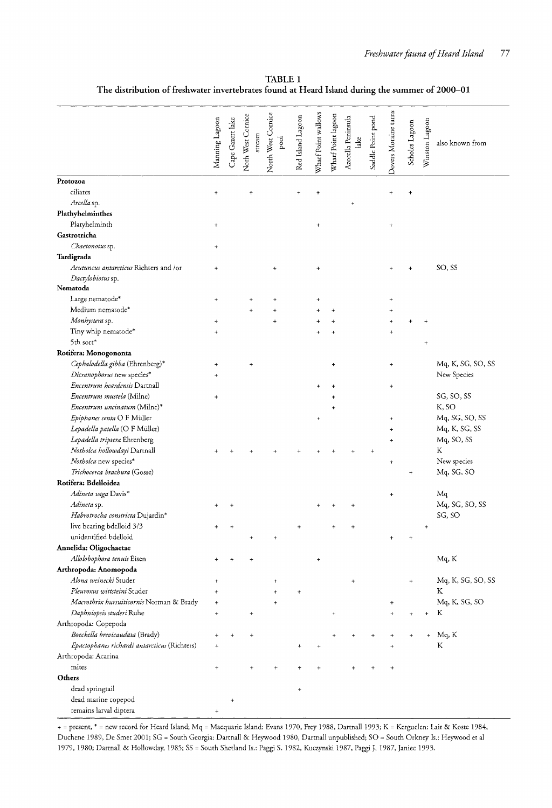|                                              | Manning Lagoon       | Cape Gazert lake | Norh West Cornice<br>stream | North West Cornice<br>$_{\rm pool}$ | Red Island Lagoon                | Wharf Point wallows | Wharf Point lagoon | Azorella Peninsula<br>lake | Saddle Point pond | Dovers Moraine tarns             | Scholes Lagoon | Winston Lagoon                   | also known from   |
|----------------------------------------------|----------------------|------------------|-----------------------------|-------------------------------------|----------------------------------|---------------------|--------------------|----------------------------|-------------------|----------------------------------|----------------|----------------------------------|-------------------|
| Protozoa                                     |                      |                  |                             |                                     |                                  |                     |                    |                            |                   |                                  |                |                                  |                   |
| ciliates                                     | $\overline{1}$       |                  | $\ddot{}$                   |                                     |                                  | ÷                   |                    |                            |                   | $\ddot{}$                        | $\ddot{}$      |                                  |                   |
| Arcella sp.                                  |                      |                  |                             |                                     |                                  |                     |                    | $\overline{1}$             |                   |                                  |                |                                  |                   |
| Plathyhelminthes                             |                      |                  |                             |                                     |                                  |                     |                    |                            |                   |                                  |                |                                  |                   |
| Platyhelminth                                | $\ddot{}$            |                  |                             |                                     |                                  | $\ddot{}$           |                    |                            |                   | $\ddot{}$                        |                |                                  |                   |
| Gastrotricha                                 |                      |                  |                             |                                     |                                  |                     |                    |                            |                   |                                  |                |                                  |                   |
| Chaetonotus sp.                              | $\ddot{}$            |                  |                             |                                     |                                  |                     |                    |                            |                   |                                  |                |                                  |                   |
| Tardigrada                                   |                      |                  |                             |                                     |                                  |                     |                    |                            |                   |                                  |                |                                  |                   |
| Acutuncus antarcticus Richters and /or       | $\ddot{}$            |                  |                             |                                     |                                  | $\ddot{}$           |                    |                            |                   |                                  |                |                                  | SO, SS            |
| Dactylobiotus sp.                            |                      |                  |                             |                                     |                                  |                     |                    |                            |                   |                                  |                |                                  |                   |
| Nematoda                                     |                      |                  |                             |                                     |                                  |                     |                    |                            |                   |                                  |                |                                  |                   |
| Large nematode*                              | $^{+}$               |                  |                             |                                     |                                  | $\ddagger$          |                    |                            |                   | $\ddot{}$                        |                |                                  |                   |
| Medium nematode*                             |                      |                  | ÷                           | $\ddot{}$                           |                                  |                     | $\ddot{\tau}$      |                            |                   |                                  |                |                                  |                   |
| Monhystera sp.                               | $\ddot{}$            |                  |                             | $\ddot{}$                           |                                  |                     |                    |                            |                   | $\overline{1}$                   |                |                                  |                   |
| Tiny whip nematode*                          | $^{+}$               |                  |                             |                                     |                                  |                     | $\ddot{}$          |                            |                   | $\ddot{}$                        |                |                                  |                   |
| 5th sort*                                    |                      |                  |                             |                                     |                                  |                     |                    |                            |                   |                                  |                | $\ddot{}$                        |                   |
| Rotifera: Monogononta                        |                      |                  |                             |                                     |                                  |                     |                    |                            |                   |                                  |                |                                  |                   |
| Cephalodella gibba (Ehrenberg)*              | +                    |                  |                             |                                     |                                  |                     | +                  |                            |                   | +                                |                |                                  | Mq, K, SG, SO, SS |
| Dicranophorus new species*                   | +                    |                  |                             |                                     |                                  |                     |                    |                            |                   |                                  |                |                                  | New Species       |
| Encentrum heardensis Dartnall                |                      |                  |                             |                                     |                                  | $\ddot{}$           |                    |                            |                   | $\ddot{}$                        |                |                                  |                   |
| Encentrum mustela (Milne)                    | $\ddot{}$            |                  |                             |                                     |                                  |                     |                    |                            |                   |                                  |                |                                  | SG, SO, SS        |
| Encentrum uncinatum (Milne)*                 |                      |                  |                             |                                     |                                  |                     |                    |                            |                   |                                  |                |                                  | K, SO             |
| Epiphanes senta O F Müller                   |                      |                  |                             |                                     |                                  |                     |                    |                            |                   |                                  |                |                                  | Mq, SG, SO, SS    |
|                                              |                      |                  |                             |                                     |                                  | ÷                   |                    |                            |                   | $\ddot{}$                        |                |                                  |                   |
| Lepadella patella (O F Müller)               |                      |                  |                             |                                     |                                  |                     |                    |                            |                   | $\ddot{}$                        |                |                                  | Mq, K, SG, SS     |
| Lepadella triptera Ehrenberg                 |                      |                  |                             |                                     |                                  |                     |                    |                            |                   | $\mathbf +$                      |                |                                  | Mq, SO, SS        |
| Notholca hollowdayi Dartnall                 |                      |                  |                             |                                     |                                  |                     |                    |                            |                   |                                  |                |                                  | K                 |
| Notholca new species*                        |                      |                  |                             |                                     |                                  |                     |                    |                            |                   | $\begin{array}{c} + \end{array}$ |                |                                  | New species       |
| Trichocerca brachura (Gosse)                 |                      |                  |                             |                                     |                                  |                     |                    |                            |                   |                                  |                |                                  | Mq, SG, SO        |
| Rotifera: Bdelloidea                         |                      |                  |                             |                                     |                                  |                     |                    |                            |                   |                                  |                |                                  |                   |
| Adineta vaga Davis*                          |                      |                  |                             |                                     |                                  |                     |                    |                            |                   | $\ddot{}$                        |                |                                  | Mq                |
| Adineta sp.                                  |                      |                  |                             |                                     |                                  |                     |                    |                            |                   |                                  |                |                                  | Mq, SG, SO, SS    |
| Habrotrocha constricta Dujardin*             |                      |                  |                             |                                     |                                  |                     |                    |                            |                   |                                  |                |                                  | SG, SO            |
| live bearing bdelloid 3/3                    |                      |                  |                             |                                     |                                  |                     |                    |                            |                   |                                  |                | $\begin{array}{c} + \end{array}$ |                   |
| unidentified bdelloid                        |                      |                  | $\ddot{}$                   | +                                   |                                  |                     |                    |                            |                   | $\overline{1}$                   | $\overline{+}$ |                                  |                   |
| Annelida: Oligochaetae                       |                      |                  |                             |                                     |                                  |                     |                    |                            |                   |                                  |                |                                  |                   |
| Allolobophora tenuis Eisen                   |                      |                  |                             |                                     |                                  | ÷                   |                    |                            |                   |                                  |                |                                  | Mq, K             |
| Arthropoda: Anomopoda                        |                      |                  |                             |                                     |                                  |                     |                    |                            |                   |                                  |                |                                  |                   |
| Alona weinecki Studer                        | $\ddot{}$            |                  |                             | $\bf{+}$                            |                                  |                     |                    | $\ddot{}$                  |                   |                                  | $\ddot{}$      |                                  | Mq, K, SG, SO, SS |
| Pleuroxus wittsteini Studer                  |                      |                  |                             |                                     | +                                |                     |                    |                            |                   |                                  |                |                                  | K                 |
| Macrothrix hursuiticornis Norman & Brady     | $\ddot{}$            |                  |                             | $\ddot{}$                           |                                  |                     |                    |                            |                   | $^{+}$                           |                |                                  | Mq, K, SG, SO     |
| Daphniopsis studeri Ruhe                     | ÷                    |                  | $\ddot{}$                   |                                     |                                  |                     | $\ddot{}$          |                            |                   | $\ddot{}$                        | $\ddot{}$      | $\ddot{}$                        | K                 |
| Arthropoda: Copepoda                         |                      |                  |                             |                                     |                                  |                     |                    |                            |                   |                                  |                |                                  |                   |
| Boeckella brevicaudata (Brady)               | $\overline{1}$       |                  | $\ddot{}$                   |                                     |                                  |                     | +                  |                            |                   |                                  |                |                                  | Mq, K             |
| Epactophanes richardi antarcticus (Richters) | $^{+}$               |                  |                             |                                     |                                  | $\ddot{}$           |                    |                            |                   | $\ddot{}$                        |                |                                  | ${\bf K}$         |
| Arthropoda: Acarina                          |                      |                  |                             |                                     |                                  |                     |                    |                            |                   |                                  |                |                                  |                   |
| mites                                        | $\ddot{\phantom{1}}$ |                  | 4                           |                                     |                                  |                     |                    |                            |                   |                                  |                |                                  |                   |
| Others                                       |                      |                  |                             |                                     |                                  |                     |                    |                            |                   |                                  |                |                                  |                   |
| dead springtail                              |                      |                  |                             |                                     | $\begin{array}{c} + \end{array}$ |                     |                    |                            |                   |                                  |                |                                  |                   |
| dead marine copepod                          |                      |                  |                             |                                     |                                  |                     |                    |                            |                   |                                  |                |                                  |                   |
| remains larval diptera                       | $\ddot{}$            | ÷                |                             |                                     |                                  |                     |                    |                            |                   |                                  |                |                                  |                   |
|                                              |                      |                  |                             |                                     |                                  |                     |                    |                            |                   |                                  |                |                                  |                   |

TABLE 1 The distribution of freshwater invertebrates found at Heard Island during the summer of 2000-01

+ = present, \* = new record for Heard Island; Mq = Macquarie Island: Evans 1970, Frey 1988, Dartnall 1993; K = Kerguelen: Lair & Koste 1984, Duchene 1989, De Smer 2001; SG = South Georgia: Dartnall & Heywood 1980, Dartnall unpublished; SO = South Orkney Is.: Heywood et al 1979, 1980; Dartnall & Hollowday, 1985; SS = Sourh Shetland Is.: Paggi S. 1982, Kuczynski 1987, Paggi J. 1987, Janiec 1993.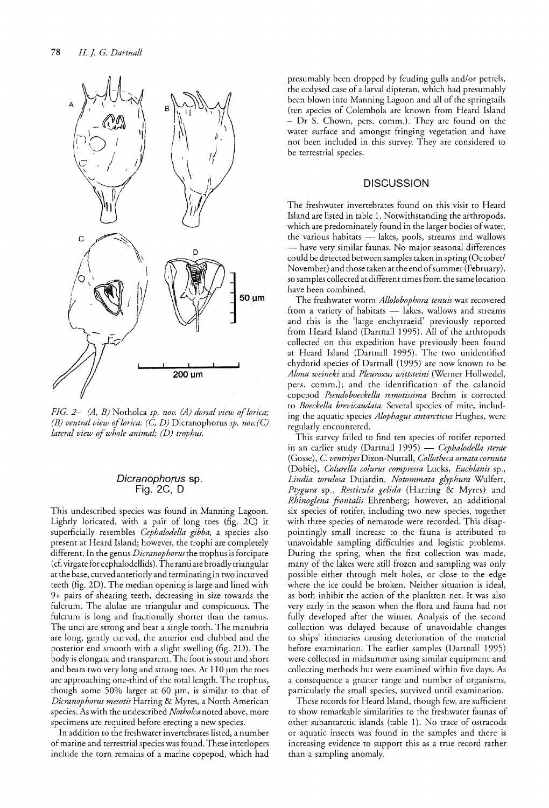

*FIG. 2- (A, B)* Notholca *sp. nov. (A) dorsal view of lorica*; *(B) ventral view oflorica.* (C, *D)* Dicranophorus *sp. nov.(C) lateral view of whole animal; (D) trophus.* 

#### Dicranophorus sp. Fig. 2C, D

This undescribed species was found in Manning Lagoon. Lightly loricated, with a pair of long toes (fig. 2C) it superficially resembles *Cephalodella gibba,* a species also present at Heard Island; however, the trophi are completely different. In the genus *Dicranophorusthe* trophus is forcipate (cf. virgate for cephalodellids). The rami are broadly triangular at the base, curved anteriorly and terminating in two incurved teeth (fig. 2D). The median opening is large and lined with 9+ pairs of shearing teeth, decreasing in size towards the fulcrum. The alulae are triangular and conspicuous. The fulcrum is long and fractionally shorter than the ramus. The unci are strong and bear a single tooth. The manubria are long, gently curved, the anterior end dubbed and the posterior end smooth with a slight swelling (fig. 2D). The body is elongate and transparent. The foot is stout and short and bears two very long and strong toes. At  $110 \mu m$  the toes are approaching one-third of the total length. The trophus, though some  $50\%$  larger at 60  $\mu$ m, is similar to that of *Dicranophorus meso tis* Harring & Myres, a North American species. As with the undescribed *Notholca* noted above, more specimens are required before erecting a new species.

In addition to the freshwater invertebrates listed, a number of marine and terrestrial species was found. These interlopers include the torn remains of a marine copepod, which had presumably been dropped by feuding gulls and/or petrels, the ecdysed case of a larval dipteran, which had presumably been blown into Manning Lagoon and all of the springtails (ten species of Colembola are known from Heard Island - Dr S. Chown, pers. comm.). They are found on the water surface and amongst fringing vegetation and have not been included in this survey. They are considered to be terrestrial species.

### **DISCUSSION**

The freshwater invertebrates found on this visit to Heard Island are listed in table 1. Notwithstanding the arthropods, which are predominately found in the larger bodies of water, the various habitats - lakes, pools, streams and wallows - have very similar faunas. No major seasonal differences could be detected between samples taken in spring (October/ November) and those taken at the end of summer (February), so samples collected at different times from the same location have been combined.

The freshwater worm *Allolobophora tenuis* was recovered from a variety of habitats - lakes, wallows and streams and this is the 'large enchytraeid' previously reported from Heard Island (Dartnall 1995). All of the arthropods collected on this expedition have previously been found at Heard Island (Dartnall 1995). The two unidentified chydorid species of Dartnall (1995) are now known to be *Alona weineki* and *Pleuroxus wittsteini* (Werner Hollwedel, pers. comm.); and the identification of the calanoid copepod *Pseudoboeckella remotissima* Brehm is corrected to *Boeckella brevicaudata.* Several species of mite, including the aquatic species *Alophagus antarcticus* Hughes, were regularly encountered.

This survey failed to find ten species of rotifer reported in an earlier study (Dartnall 1995) - *Cephalodella sterae* (Gosse), C. *ventripes* Dixon-Nuttall, *Collotheca ornata cornuta*  (Dobie), *Colurella colurus compressa* Lucks, *Euchlanis* sp., *Lindia torulosa* Dujardin, *Notommata glyphura* Wulfert, *Ptygura* sp., *Resticula gelida* (Harring & Myres) and *Rhinoglena ftontalis* Ehrenberg; however, an additional six species of rotifer, including two new species, together with three species of nematode were recorded. This disappointingly small increase to the fauna is attributed to unavoidable sampling difficulties and logistic problems. During the spring, when the first collection was made, many of the lakes were still frozen and sampling was only possible either through melt holes, or close to the edge where the ice could be broken. Neither situation is ideal, as both inhibit the action of the plankton net. It was also very early in the season when the flora and fauna had not fully developed after the winter. Analysis of the second collection was delayed because of unavoidable changes to ships' itineraries causing deterioration of the material before examination. The earlier samples (Dartnall 1995) were collected in midsummer using similar equipment and collecting methods but were examined within five days. As a consequence a greater range and number of organisms, particularly the small species, survived until examination.

These records for Heard Island, though few, are sufficient to show remarkable similarities to the freshwater faunas of other subantarctic islands (table 1). No trace of ostracods or aquatic insects was found in the samples and there is increasing evidence to support this as a true record rather than a sampling anomaly.